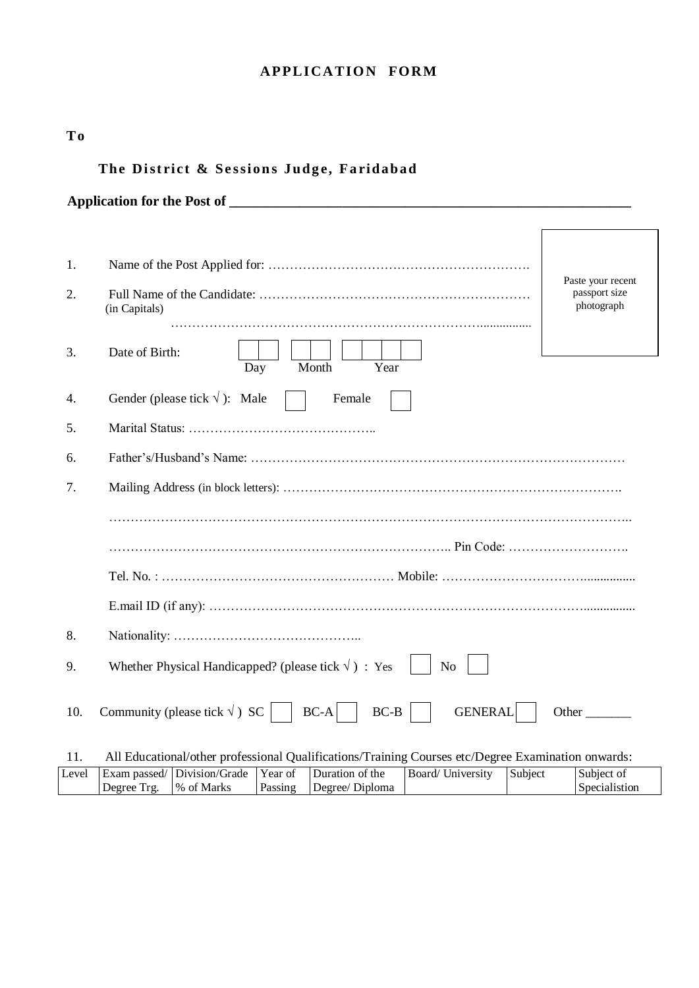## **APPLICATION FORM**

| T <sub>o</sub> |                                                                                                                                                                |                             |  |  |  |  |  |
|----------------|----------------------------------------------------------------------------------------------------------------------------------------------------------------|-----------------------------|--|--|--|--|--|
|                | The District & Sessions Judge, Faridabad                                                                                                                       |                             |  |  |  |  |  |
|                |                                                                                                                                                                |                             |  |  |  |  |  |
|                |                                                                                                                                                                |                             |  |  |  |  |  |
| 1.             |                                                                                                                                                                |                             |  |  |  |  |  |
| 2.             | Paste your recent<br>passport size<br>photograph<br>(in Capitals)                                                                                              |                             |  |  |  |  |  |
| 3.             | Date of Birth:<br>Month<br>Day<br>Year                                                                                                                         |                             |  |  |  |  |  |
| 4.             | Gender (please tick $\sqrt{}$ ): Male<br>Female                                                                                                                |                             |  |  |  |  |  |
| 5.             |                                                                                                                                                                |                             |  |  |  |  |  |
| 6.             |                                                                                                                                                                |                             |  |  |  |  |  |
| 7.             |                                                                                                                                                                |                             |  |  |  |  |  |
|                |                                                                                                                                                                |                             |  |  |  |  |  |
|                |                                                                                                                                                                |                             |  |  |  |  |  |
|                |                                                                                                                                                                |                             |  |  |  |  |  |
|                |                                                                                                                                                                |                             |  |  |  |  |  |
| 8.             |                                                                                                                                                                |                             |  |  |  |  |  |
| 9.             | Whether Physical Handicapped? (please tick $\sqrt{}$ ) : Yes<br>No                                                                                             |                             |  |  |  |  |  |
| 10.            | Community (please tick $\sqrt{ }$ ) SC<br>$BC-A$<br>$BC-B$<br><b>GENERAL</b>                                                                                   | Other                       |  |  |  |  |  |
| 11.            | All Educational/other professional Qualifications/Training Courses etc/Degree Examination onwards:                                                             |                             |  |  |  |  |  |
| Level          | Division/Grade<br>Duration of the<br><b>Board/ University</b><br>Year of<br>Exam passed/<br>Subject<br>Degree Trg.<br>% of Marks<br>Degree/ Diploma<br>Passing | Subject of<br>Specialistion |  |  |  |  |  |